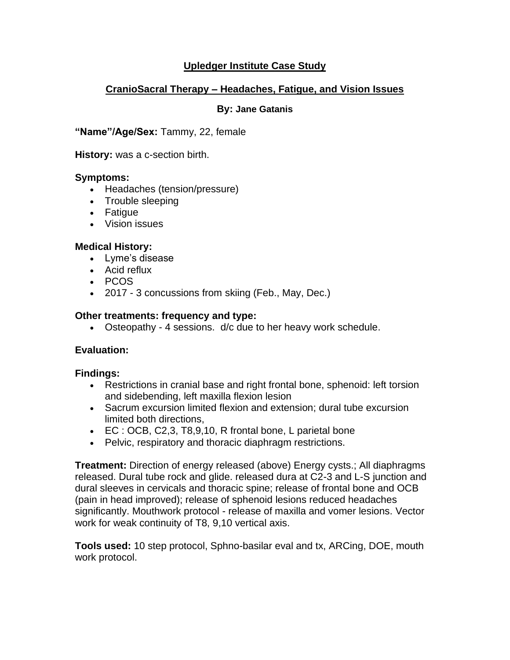# **Upledger Institute Case Study**

# **CranioSacral Therapy – Headaches, Fatigue, and Vision Issues**

#### **By: Jane Gatanis**

**"Name"/Age/Sex:** Tammy, 22, female

**History:** was a c-section birth.

## **Symptoms:**

- Headaches (tension/pressure)
- Trouble sleeping
- Fatigue
- Vision issues

## **Medical History:**

- Lyme's disease
- Acid reflux
- PCOS
- 2017 3 concussions from skiing (Feb., May, Dec.)

## **Other treatments: frequency and type:**

• Osteopathy - 4 sessions. d/c due to her heavy work schedule.

# **Evaluation:**

# **Findings:**

- Restrictions in cranial base and right frontal bone, sphenoid: left torsion and sidebending, left maxilla flexion lesion
- Sacrum excursion limited flexion and extension; dural tube excursion limited both directions,
- EC : OCB, C2,3, T8,9,10, R frontal bone, L parietal bone
- Pelvic, respiratory and thoracic diaphragm restrictions.

**Treatment:** Direction of energy released (above) Energy cysts.; All diaphragms released. Dural tube rock and glide. released dura at C2-3 and L-S junction and dural sleeves in cervicals and thoracic spine; release of frontal bone and OCB (pain in head improved); release of sphenoid lesions reduced headaches significantly. Mouthwork protocol - release of maxilla and vomer lesions. Vector work for weak continuity of T8, 9,10 vertical axis.

**Tools used:** 10 step protocol, Sphno-basilar eval and tx, ARCing, DOE, mouth work protocol.